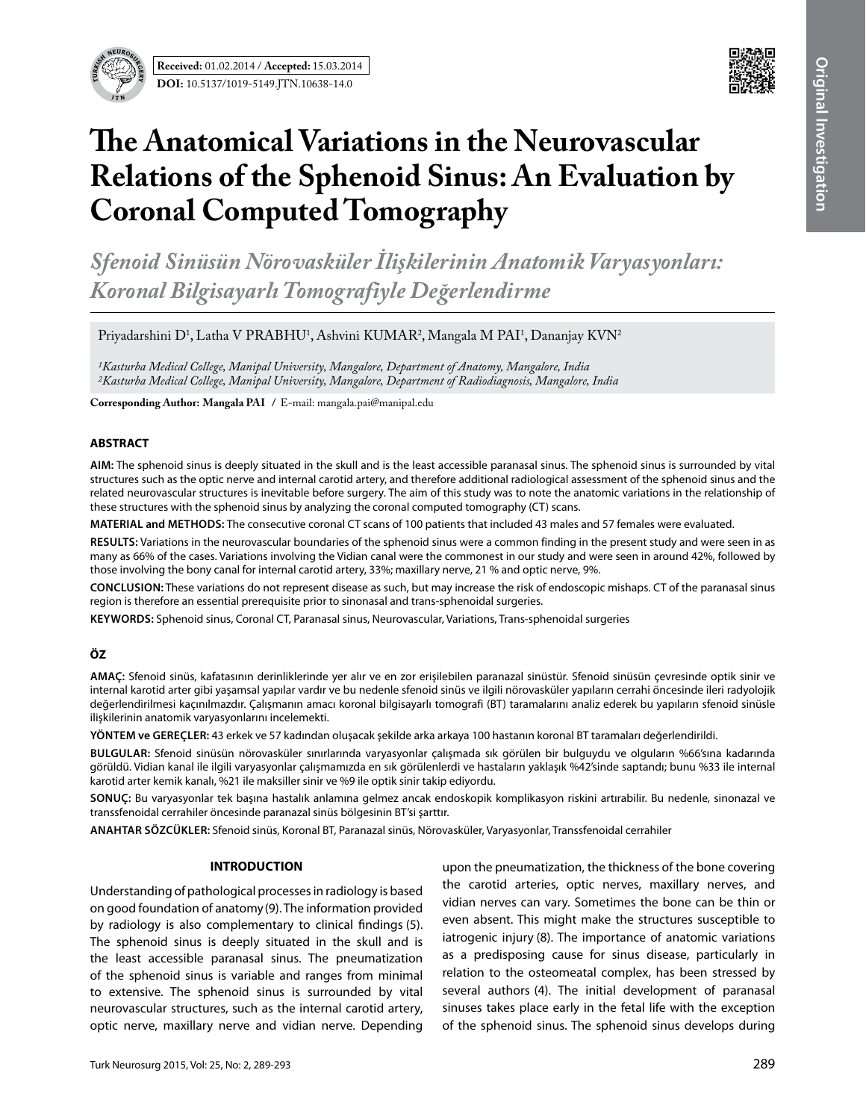**Received:** 01.02.2014 / **Accepted:** 15.03.2014 **DOI:** 10.5137/1019-5149.JTN.10638-14.0



# **The Anatomical Variations in the Neurovascular Relations of the Sphenoid Sinus: An Evaluation by Coronal Computed Tomography**

*Sfenoid Sinüsün Nörovasküler İlişkilerinin Anatomik Varyasyonları: Koronal Bilgisayarlı Tomografiyle Değerlendirme* 

Priyadarshini D<sup>1</sup>, Latha V PRABHU<sup>1</sup>, Ashvini KUMAR<sup>2</sup>, Mangala M PAI<sup>1</sup>, Dananjay KVN<sup>2</sup>

*1Kasturba Medical College, Manipal University, Mangalore, Department of Anatomy, Mangalore, India 2Kasturba Medical College, Manipal University, Mangalore, Department of Radiodiagnosis, Mangalore, India*

**Corresponding Author: Mangala PaI /** E-mail: mangala.pai@manipal.edu

#### **ABSTRACT**

**AIm:** The sphenoid sinus is deeply situated in the skull and is the least accessible paranasal sinus. The sphenoid sinus is surrounded by vital structures such as the optic nerve and internal carotid artery, and therefore additional radiological assessment of the sphenoid sinus and the related neurovascular structures is inevitable before surgery. The aim of this study was to note the anatomic variations in the relationship of these structures with the sphenoid sinus by analyzing the coronal computed tomography (CT) scans.

**MaterIal and Methods:** The consecutive coronal CT scans of 100 patients that included 43 males and 57 females were evaluated.

**Results:** Variations in the neurovascular boundaries of the sphenoid sinus were a common finding in the present study and were seen in as many as 66% of the cases. Variations involving the Vidian canal were the commonest in our study and were seen in around 42%, followed by those involving the bony canal for internal carotid artery, 33%; maxillary nerve, 21 % and optic nerve, 9%.

**ConclusIon:** These variations do not represent disease as such, but may increase the risk of endoscopic mishaps. CT of the paranasal sinus region is therefore an essential prerequisite prior to sinonasal and trans-sphenoidal surgeries.

**Keywords:** Sphenoid sinus, Coronal CT, Paranasal sinus, Neurovascular, Variations, Trans-sphenoidal surgeries

# **ÖZ**

**AMAÇ:** Sfenoid sinüs, kafatasının derinliklerinde yer alır ve en zor erişilebilen paranazal sinüstür. Sfenoid sinüsün çevresinde optik sinir ve internal karotid arter gibi yaşamsal yapılar vardır ve bu nedenle sfenoid sinüs ve ilgili nörovasküler yapıların cerrahi öncesinde ileri radyolojik değerlendirilmesi kaçınılmazdır. Çalışmanın amacı koronal bilgisayarlı tomografi (BT) taramalarını analiz ederek bu yapıların sfenoid sinüsle ilişkilerinin anatomik varyasyonlarını incelemekti.

**YÖNTEM ve GEREÇLER:** 43 erkek ve 57 kadından oluşacak şekilde arka arkaya 100 hastanın koronal BT taramaları değerlendirildi.

**BULGULAR:** Sfenoid sinüsün nörovasküler sınırlarında varyasyonlar çalışmada sık görülen bir bulguydu ve olguların %66'sına kadarında görüldü. Vidian kanal ile ilgili varyasyonlar çalışmamızda en sık görülenlerdi ve hastaların yaklaşık %42'sinde saptandı; bunu %33 ile internal karotid arter kemik kanalı, %21 ile maksiller sinir ve %9 ile optik sinir takip ediyordu.

**SONUÇ:** Bu varyasyonlar tek başına hastalık anlamına gelmez ancak endoskopik komplikasyon riskini artırabilir. Bu nedenle, sinonazal ve transsfenoidal cerrahiler öncesinde paranazal sinüs bölgesinin BT'si şarttır.

**ANAHTAR SÖZCÜKLER:** Sfenoid sinüs, Koronal BT, Paranazal sinüs, Nörovasküler, Varyasyonlar, Transsfenoidal cerrahiler

#### **INTRODUCTION**

Understanding of pathological processes in radiology is based on good foundation of anatomy(9). The information provided by radiology is also complementary to clinical findings (5). The sphenoid sinus is deeply situated in the skull and is the least accessible paranasal sinus. The pneumatization of the sphenoid sinus is variable and ranges from minimal to extensive. The sphenoid sinus is surrounded by vital neurovascular structures, such as the internal carotid artery, optic nerve, maxillary nerve and vidian nerve. Depending

upon the pneumatization, the thickness of the bone covering the carotid arteries, optic nerves, maxillary nerves, and vidian nerves can vary. Sometimes the bone can be thin or even absent. This might make the structures susceptible to iatrogenic injury (8). The importance of anatomic variations as a predisposing cause for sinus disease, particularly in relation to the osteomeatal complex, has been stressed by several authors (4). The initial development of paranasal sinuses takes place early in the fetal life with the exception of the sphenoid sinus. The sphenoid sinus develops during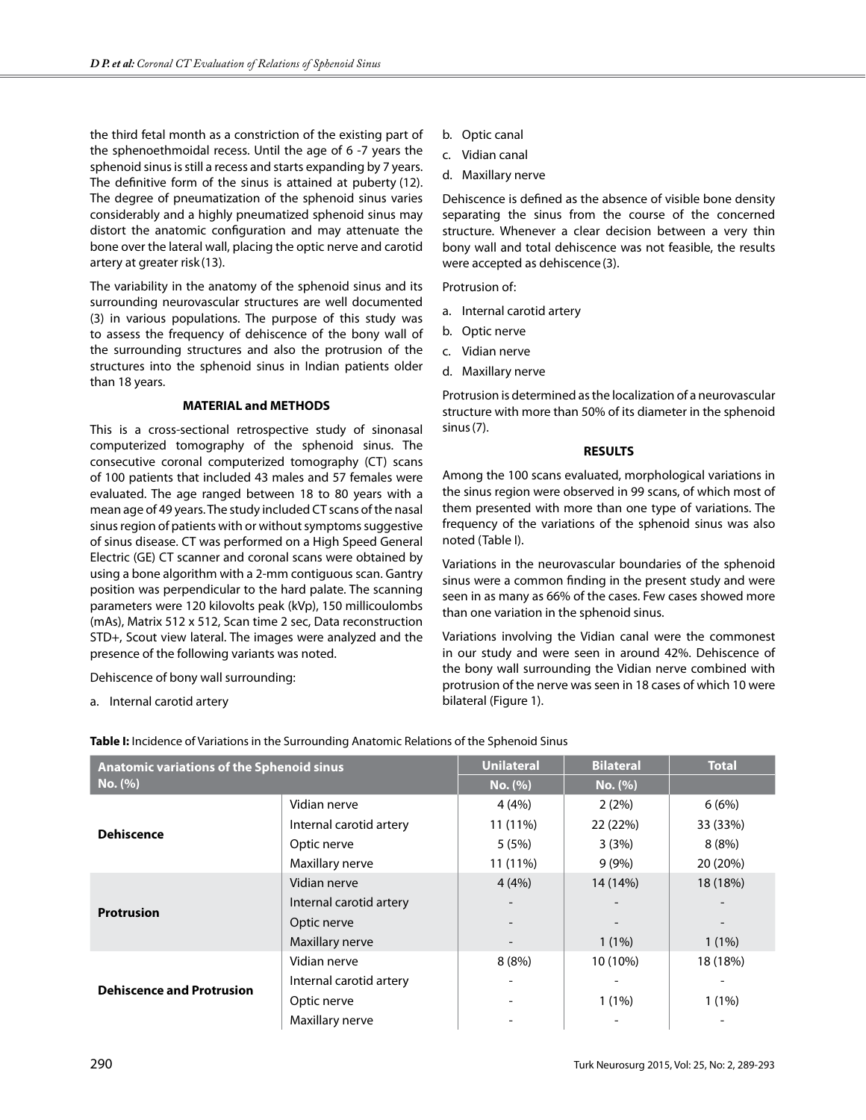the third fetal month as a constriction of the existing part of the sphenoethmoidal recess. Until the age of 6 -7 years the sphenoid sinus is still a recess and starts expanding by 7 years. The definitive form of the sinus is attained at puberty (12). The degree of pneumatization of the sphenoid sinus varies considerably and a highly pneumatized sphenoid sinus may distort the anatomic configuration and may attenuate the bone over the lateral wall, placing the optic nerve and carotid artery at greater risk (13).

The variability in the anatomy of the sphenoid sinus and its surrounding neurovascular structures are well documented (3) in various populations. The purpose of this study was to assess the frequency of dehiscence of the bony wall of the surrounding structures and also the protrusion of the structures into the sphenoid sinus in Indian patients older than 18 years.

# **MATERIAL and METHODS**

This is a cross-sectional retrospective study of sinonasal computerized tomography of the sphenoid sinus. The consecutive coronal computerized tomography (CT) scans of 100 patients that included 43 males and 57 females were evaluated. The age ranged between 18 to 80 years with a mean age of 49 years. The study included CT scans of the nasal sinus region of patients with or without symptoms suggestive of sinus disease. CT was performed on a High Speed General Electric (GE) CT scanner and coronal scans were obtained by using a bone algorithm with a 2-mm contiguous scan. Gantry position was perpendicular to the hard palate. The scanning parameters were 120 kilovolts peak (kVp), 150 millicoulombs (mAs), Matrix 512 x 512, Scan time 2 sec, Data reconstruction STD+, Scout view lateral. The images were analyzed and the presence of the following variants was noted.

Dehiscence of bony wall surrounding:

a. Internal carotid artery

- b. Optic canal
- c. Vidian canal
- d. Maxillary nerve

Dehiscence is defined as the absence of visible bone density separating the sinus from the course of the concerned structure. Whenever a clear decision between a very thin bony wall and total dehiscence was not feasible, the results were accepted as dehiscence(3).

Protrusion of:

- a. Internal carotid artery
- b. Optic nerve
- c. Vidian nerve
- d. Maxillary nerve

Protrusion is determined as the localization of a neurovascular structure with more than 50% of its diameter in the sphenoid sinus(7).

# **RESULTS**

Among the 100 scans evaluated, morphological variations in the sinus region were observed in 99 scans, of which most of them presented with more than one type of variations. The frequency of the variations of the sphenoid sinus was also noted (Table I).

Variations in the neurovascular boundaries of the sphenoid sinus were a common finding in the present study and were seen in as many as 66% of the cases. Few cases showed more than one variation in the sphenoid sinus.

Variations involving the Vidian canal were the commonest in our study and were seen in around 42%. Dehiscence of the bony wall surrounding the Vidian nerve combined with protrusion of the nerve was seen in 18 cases of which 10 were bilateral (Figure 1).

| <b>Anatomic variations of the Sphenoid sinus</b><br>No. (%) |                         | <b>Unilateral</b> | <b>Bilateral</b> | <b>Total</b> |
|-------------------------------------------------------------|-------------------------|-------------------|------------------|--------------|
|                                                             |                         | No. (%)           | No. (%)          |              |
| <b>Dehiscence</b>                                           | Vidian nerve            | 4(4%)             | 2(2%)            | 6(6%)        |
|                                                             | Internal carotid artery | 11 (11%)          | 22 (22%)         | 33 (33%)     |
|                                                             | Optic nerve             | 5(5%)             | 3(3%)            | 8(8%)        |
|                                                             | Maxillary nerve         | 11 (11%)          | $9(9\%)$         | 20 (20%)     |
| <b>Protrusion</b>                                           | Vidian nerve            | 4(4%)             | 14 (14%)         | 18 (18%)     |
|                                                             | Internal carotid artery |                   |                  |              |
|                                                             | Optic nerve             |                   |                  |              |
|                                                             | Maxillary nerve         |                   | $1(1\%)$         | $1(1\%)$     |
| <b>Dehiscence and Protrusion</b>                            | Vidian nerve            | 8(8%)             | 10 (10%)         | 18 (18%)     |
|                                                             | Internal carotid artery |                   |                  |              |
|                                                             | Optic nerve             |                   | $1(1\%)$         | $1(1\%)$     |
|                                                             | Maxillary nerve         |                   |                  |              |

**Table I:** Incidence of Variations in the Surrounding Anatomic Relations of the Sphenoid Sinus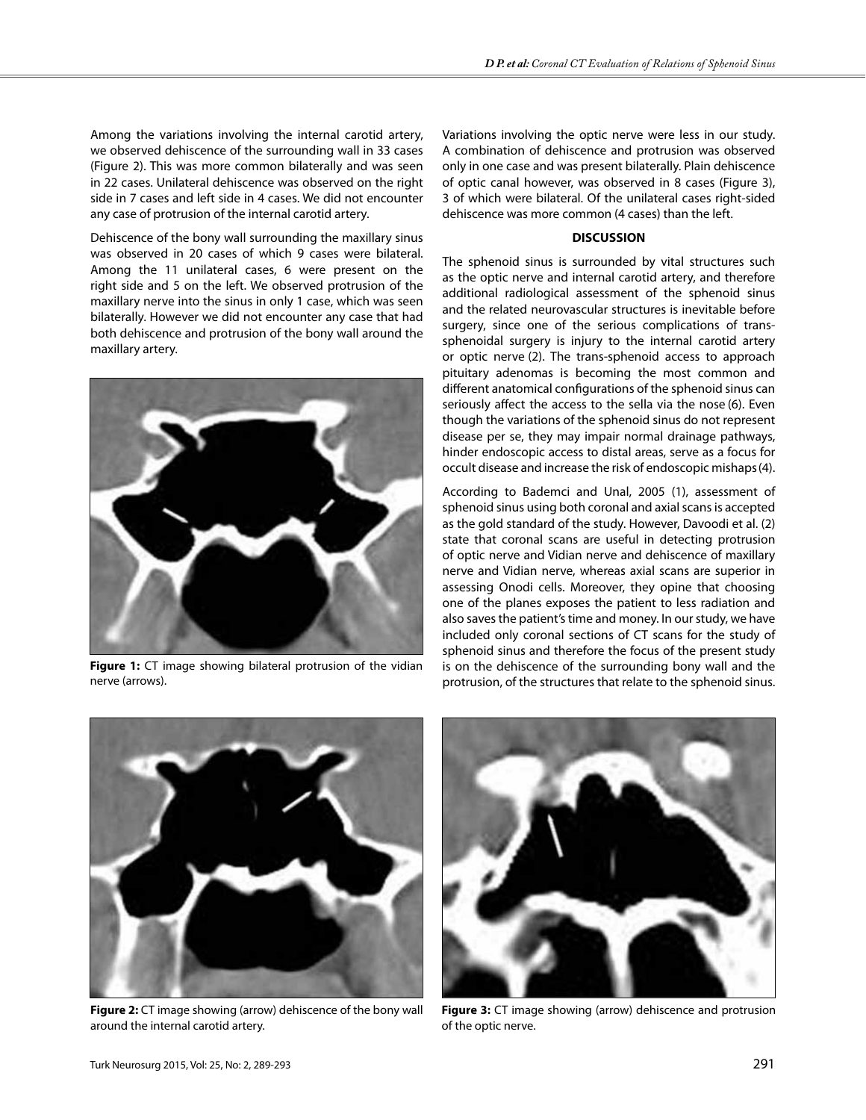Among the variations involving the internal carotid artery, we observed dehiscence of the surrounding wall in 33 cases (Figure 2). This was more common bilaterally and was seen in 22 cases. Unilateral dehiscence was observed on the right side in 7 cases and left side in 4 cases. We did not encounter any case of protrusion of the internal carotid artery.

Dehiscence of the bony wall surrounding the maxillary sinus was observed in 20 cases of which 9 cases were bilateral. Among the 11 unilateral cases, 6 were present on the right side and 5 on the left. We observed protrusion of the maxillary nerve into the sinus in only 1 case, which was seen bilaterally. However we did not encounter any case that had both dehiscence and protrusion of the bony wall around the maxillary artery.



**Figure 1:** CT image showing bilateral protrusion of the vidian nerve (arrows).

Variations involving the optic nerve were less in our study. A combination of dehiscence and protrusion was observed only in one case and was present bilaterally. Plain dehiscence of optic canal however, was observed in 8 cases (Figure 3), 3 of which were bilateral. Of the unilateral cases right-sided dehiscence was more common (4 cases) than the left.

# **DISCUSSION**

The sphenoid sinus is surrounded by vital structures such as the optic nerve and internal carotid artery, and therefore additional radiological assessment of the sphenoid sinus and the related neurovascular structures is inevitable before surgery, since one of the serious complications of transsphenoidal surgery is injury to the internal carotid artery or optic nerve (2). The trans-sphenoid access to approach pituitary adenomas is becoming the most common and different anatomical configurations of the sphenoid sinus can seriously affect the access to the sella via the nose (6). Even though the variations of the sphenoid sinus do not represent disease per se, they may impair normal drainage pathways, hinder endoscopic access to distal areas, serve as a focus for occult disease and increase the risk of endoscopic mishaps(4).

According to Bademci and Unal, 2005 (1), assessment of sphenoid sinus using both coronal and axial scans is accepted as the gold standard of the study. However, Davoodi et al. (2) state that coronal scans are useful in detecting protrusion of optic nerve and Vidian nerve and dehiscence of maxillary nerve and Vidian nerve, whereas axial scans are superior in assessing Onodi cells. Moreover, they opine that choosing one of the planes exposes the patient to less radiation and also saves the patient's time and money. In our study, we have included only coronal sections of CT scans for the study of sphenoid sinus and therefore the focus of the present study is on the dehiscence of the surrounding bony wall and the protrusion, of the structures that relate to the sphenoid sinus.



**Figure 2:** CT image showing (arrow) dehiscence of the bony wall around the internal carotid artery.



**Figure 3:** CT image showing (arrow) dehiscence and protrusion of the optic nerve.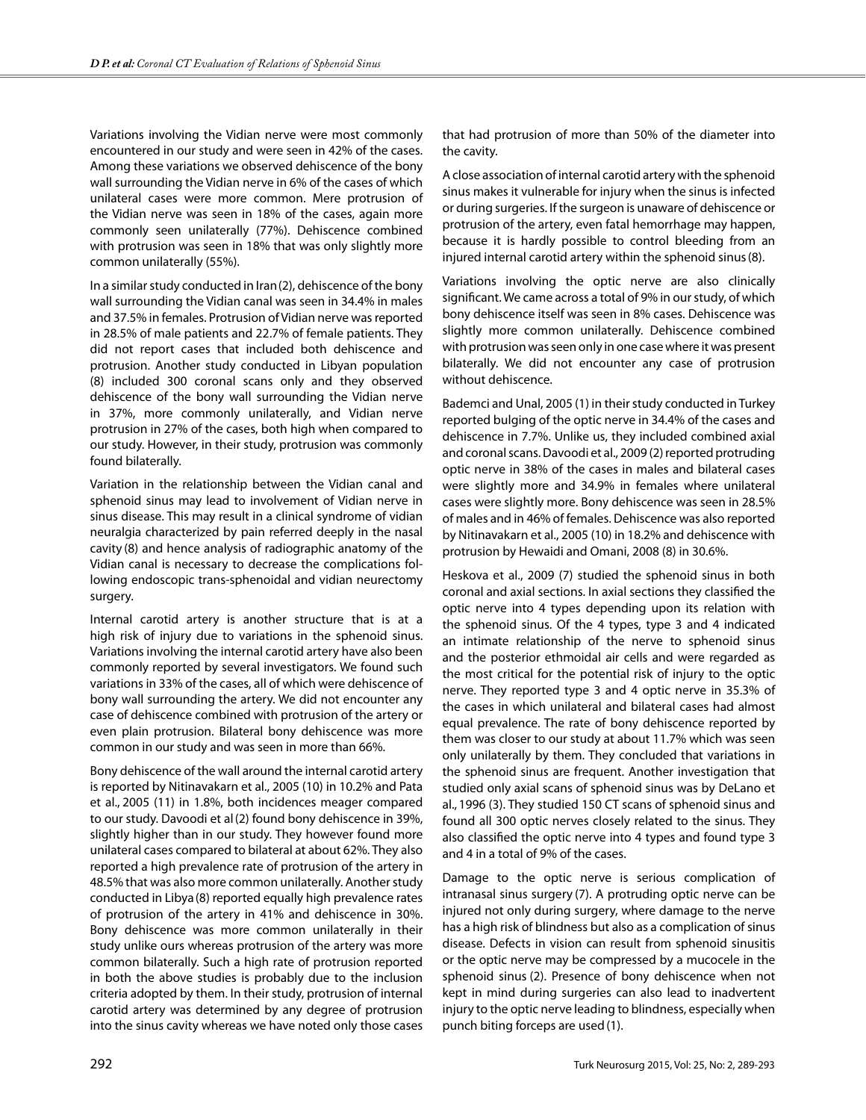Variations involving the Vidian nerve were most commonly encountered in our study and were seen in 42% of the cases. Among these variations we observed dehiscence of the bony wall surrounding the Vidian nerve in 6% of the cases of which unilateral cases were more common. Mere protrusion of the Vidian nerve was seen in 18% of the cases, again more commonly seen unilaterally (77%). Dehiscence combined with protrusion was seen in 18% that was only slightly more common unilaterally (55%).

In a similar study conducted in Iran(2), dehiscence of the bony wall surrounding the Vidian canal was seen in 34.4% in males and 37.5% in females. Protrusion of Vidian nerve was reported in 28.5% of male patients and 22.7% of female patients. They did not report cases that included both dehiscence and protrusion. Another study conducted in Libyan population (8) included 300 coronal scans only and they observed dehiscence of the bony wall surrounding the Vidian nerve in 37%, more commonly unilaterally, and Vidian nerve protrusion in 27% of the cases, both high when compared to our study. However, in their study, protrusion was commonly found bilaterally.

Variation in the relationship between the Vidian canal and sphenoid sinus may lead to involvement of Vidian nerve in sinus disease. This may result in a clinical syndrome of vidian neuralgia characterized by pain referred deeply in the nasal cavity (8) and hence analysis of radiographic anatomy of the Vidian canal is necessary to decrease the complications following endoscopic trans-sphenoidal and vidian neurectomy surgery.

Internal carotid artery is another structure that is at a high risk of injury due to variations in the sphenoid sinus. Variations involving the internal carotid artery have also been commonly reported by several investigators. We found such variations in 33% of the cases, all of which were dehiscence of bony wall surrounding the artery. We did not encounter any case of dehiscence combined with protrusion of the artery or even plain protrusion. Bilateral bony dehiscence was more common in our study and was seen in more than 66%.

Bony dehiscence of the wall around the internal carotid artery is reported by Nitinavakarn et al., 2005 (10) in 10.2% and Pata et al., 2005 (11) in 1.8%, both incidences meager compared to our study. Davoodi et al(2) found bony dehiscence in 39%, slightly higher than in our study. They however found more unilateral cases compared to bilateral at about 62%. They also reported a high prevalence rate of protrusion of the artery in 48.5% that was also more common unilaterally. Another study conducted in Libya(8) reported equally high prevalence rates of protrusion of the artery in 41% and dehiscence in 30%. Bony dehiscence was more common unilaterally in their study unlike ours whereas protrusion of the artery was more common bilaterally. Such a high rate of protrusion reported in both the above studies is probably due to the inclusion criteria adopted by them. In their study, protrusion of internal carotid artery was determined by any degree of protrusion into the sinus cavity whereas we have noted only those cases that had protrusion of more than 50% of the diameter into the cavity.

A close association of internal carotid artery with the sphenoid sinus makes it vulnerable for injury when the sinus is infected or during surgeries. If the surgeon is unaware of dehiscence or protrusion of the artery, even fatal hemorrhage may happen, because it is hardly possible to control bleeding from an injured internal carotid artery within the sphenoid sinus(8).

Variations involving the optic nerve are also clinically significant. We came across a total of 9% in our study, of which bony dehiscence itself was seen in 8% cases. Dehiscence was slightly more common unilaterally. Dehiscence combined with protrusion was seen only in one case where it was present bilaterally. We did not encounter any case of protrusion without dehiscence.

Bademci and Unal, 2005 (1) in their study conducted in Turkey reported bulging of the optic nerve in 34.4% of the cases and dehiscence in 7.7%. Unlike us, they included combined axial and coronal scans. Davoodi et al., 2009 (2) reported protruding optic nerve in 38% of the cases in males and bilateral cases were slightly more and 34.9% in females where unilateral cases were slightly more. Bony dehiscence was seen in 28.5% of males and in 46% of females. Dehiscence was also reported by Nitinavakarn et al., 2005 (10) in 18.2% and dehiscence with protrusion by Hewaidi and Omani, 2008 (8) in 30.6%.

Heskova et al., 2009 (7) studied the sphenoid sinus in both coronal and axial sections. In axial sections they classified the optic nerve into 4 types depending upon its relation with the sphenoid sinus. Of the 4 types, type 3 and 4 indicated an intimate relationship of the nerve to sphenoid sinus and the posterior ethmoidal air cells and were regarded as the most critical for the potential risk of injury to the optic nerve. They reported type 3 and 4 optic nerve in 35.3% of the cases in which unilateral and bilateral cases had almost equal prevalence. The rate of bony dehiscence reported by them was closer to our study at about 11.7% which was seen only unilaterally by them. They concluded that variations in the sphenoid sinus are frequent. Another investigation that studied only axial scans of sphenoid sinus was by DeLano et al., 1996 (3). They studied 150 CT scans of sphenoid sinus and found all 300 optic nerves closely related to the sinus. They also classified the optic nerve into 4 types and found type 3 and 4 in a total of 9% of the cases.

Damage to the optic nerve is serious complication of intranasal sinus surgery (7). A protruding optic nerve can be injured not only during surgery, where damage to the nerve has a high risk of blindness but also as a complication of sinus disease. Defects in vision can result from sphenoid sinusitis or the optic nerve may be compressed by a mucocele in the sphenoid sinus (2). Presence of bony dehiscence when not kept in mind during surgeries can also lead to inadvertent injury to the optic nerve leading to blindness, especially when punch biting forceps are used(1).